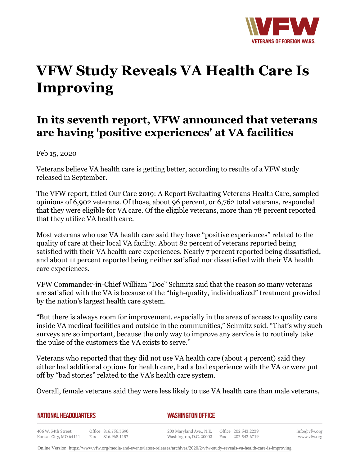

## **VFW Study Reveals VA Health Care Is Improving**

## **In its seventh report, VFW announced that veterans are having 'positive experiences' at VA facilities**

Feb 15, 2020

Veterans believe VA health care is getting better, according to results of a VFW study released in September.

The VFW report, titled Our Care 2019: A Report Evaluating Veterans Health Care, sampled opinions of 6,902 veterans. Of those, about 96 percent, or 6,762 total veterans, responded that they were eligible for VA care. Of the eligible veterans, more than 78 percent reported that they utilize VA health care.

Most veterans who use VA health care said they have "positive experiences" related to the quality of care at their local VA facility. About 82 percent of veterans reported being satisfied with their VA health care experiences. Nearly 7 percent reported being dissatisfied, and about 11 percent reported being neither satisfied nor dissatisfied with their VA health care experiences.

VFW Commander-in-Chief William "Doc" Schmitz said that the reason so many veterans are satisfied with the VA is because of the "high-quality, individualized" treatment provided by the nation's largest health care system.

"But there is always room for improvement, especially in the areas of access to quality care inside VA medical facilities and outside in the communities," Schmitz said. "That's why such surveys are so important, because the only way to improve any service is to routinely take the pulse of the customers the VA exists to serve."

Veterans who reported that they did not use VA health care (about 4 percent) said they either had additional options for health care, had a bad experience with the VA or were put off by "bad stories" related to the VA's health care system.

Overall, female veterans said they were less likely to use VA health care than male veterans,

| <b>NATIONAL HEADQUARTERS</b> |  |
|------------------------------|--|
|                              |  |

*WASHINGTON OFFICE* 

406 W. 34th Street Office 816.756.3390 Fax 816.968.1157 Kansas City, MO 64111

200 Maryland Ave., N.E. Washington, D.C. 20002

Office 202.543.2239 Fax 202.543.6719

info@vfw.org www.vfw.org

Online Version:<https://www.vfw.org/media-and-events/latest-releases/archives/2020/2/vfw-study-reveals-va-health-care-is-improving>